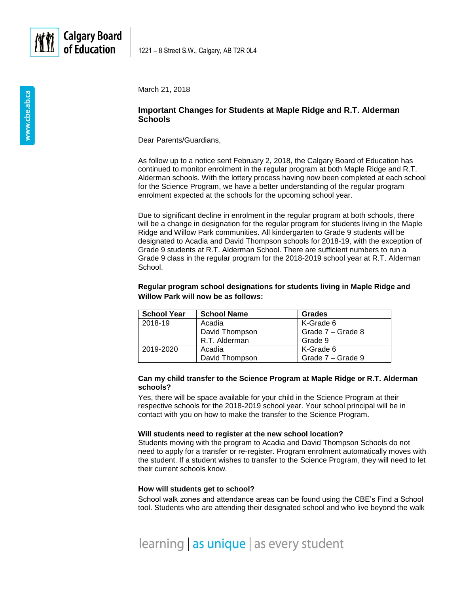

1221 – 8 Street S.W., Calgary, AB T2R 0L4

March 21, 2018

# **Important Changes for Students at Maple Ridge and R.T. Alderman Schools**

Dear Parents/Guardians,

As follow up to a notice sent February 2, 2018, the Calgary Board of Education has continued to monitor enrolment in the regular program at both Maple Ridge and R.T. Alderman schools. With the lottery process having now been completed at each school for the Science Program, we have a better understanding of the regular program enrolment expected at the schools for the upcoming school year.

Due to significant decline in enrolment in the regular program at both schools, there will be a change in designation for the regular program for students living in the Maple Ridge and Willow Park communities. All kindergarten to Grade 9 students will be designated to Acadia and David Thompson schools for 2018-19, with the exception of Grade 9 students at R.T. Alderman School. There are sufficient numbers to run a Grade 9 class in the regular program for the 2018-2019 school year at R.T. Alderman School.

# **Regular program school designations for students living in Maple Ridge and Willow Park will now be as follows:**

| <b>School Year</b> | <b>School Name</b> | Grades            |
|--------------------|--------------------|-------------------|
| 2018-19            | Acadia             | K-Grade 6         |
|                    | David Thompson     | Grade 7 - Grade 8 |
|                    | R.T. Alderman      | Grade 9           |
| 2019-2020          | Acadia             | K-Grade 6         |
|                    | David Thompson     | Grade 7 - Grade 9 |

### **Can my child transfer to the Science Program at Maple Ridge or R.T. Alderman schools?**

Yes, there will be space available for your child in the Science Program at their respective schools for the 2018-2019 school year. Your school principal will be in contact with you on how to make the transfer to the Science Program.

### **Will students need to register at the new school location?**

Students moving with the program to Acadia and David Thompson Schools do not need to apply for a transfer or re-register. Program enrolment automatically moves with the student. If a student wishes to transfer to the Science Program, they will need to let their current schools know.

### **How will students get to school?**

School walk zones and attendance areas can be found using the CBE's Find a School tool. Students who are attending their designated school and who live beyond the walk